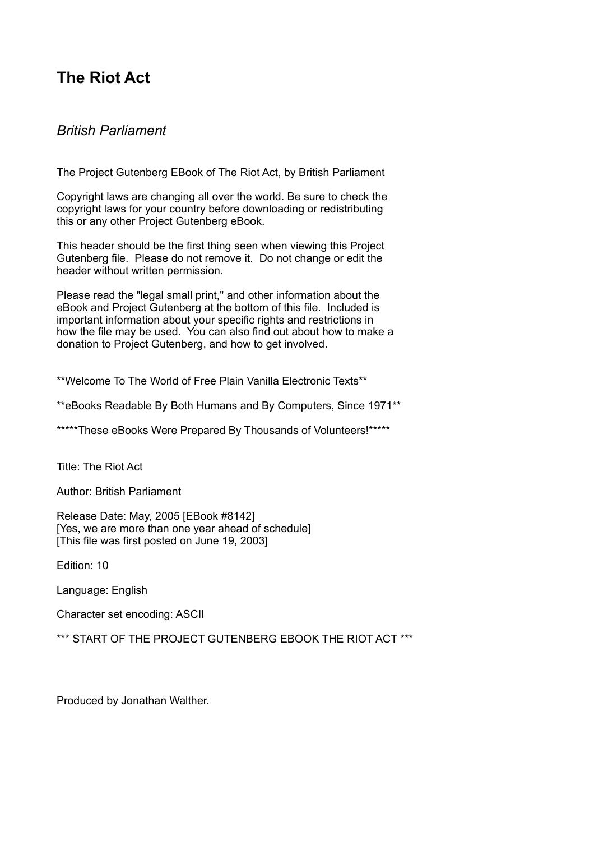# **The Riot Act**

## *British Parliament*

The Project Gutenberg EBook of The Riot Act, by British Parliament

Copyright laws are changing all over the world. Be sure to check the copyright laws for your country before downloading or redistributing this or any other Project Gutenberg eBook.

This header should be the first thing seen when viewing this Project Gutenberg file. Please do not remove it. Do not change or edit the header without written permission.

Please read the "legal small print," and other information about the eBook and Project Gutenberg at the bottom of this file. Included is important information about your specific rights and restrictions in how the file may be used. You can also find out about how to make a donation to Project Gutenberg, and how to get involved.

\*\*Welcome To The World of Free Plain Vanilla Electronic Texts\*\*

\*\*eBooks Readable By Both Humans and By Computers, Since 1971\*\*

\*\*\*\*\*These eBooks Were Prepared By Thousands of Volunteers!\*\*\*\*\*

Title: The Riot Act

Author: British Parliament

Release Date: May, 2005 [EBook #8142] [Yes, we are more than one year ahead of schedule] [This file was first posted on June 19, 2003]

Edition: 10

Language: English

Character set encoding: ASCII

\*\*\* START OF THE PROJECT GUTENBERG EBOOK THE RIOT ACT \*\*\*

Produced by Jonathan Walther.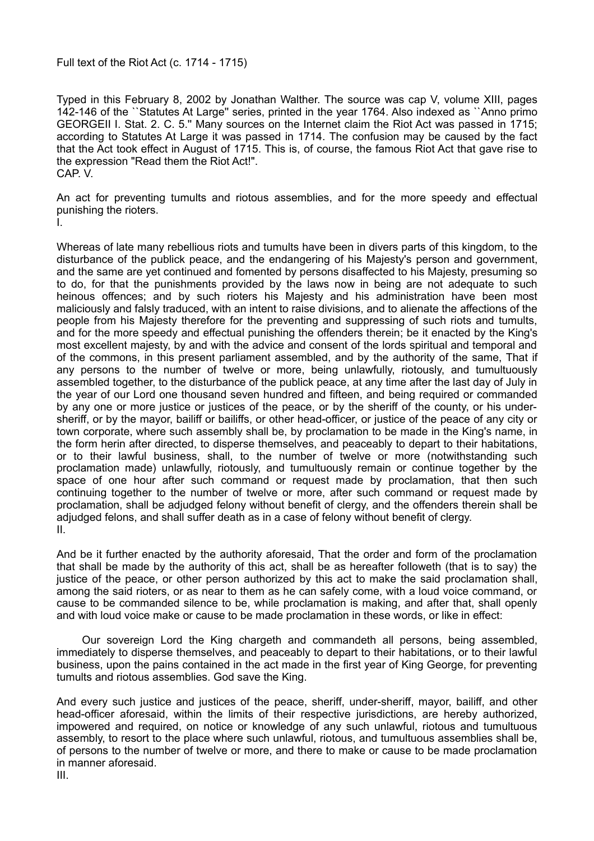Full text of the Riot Act (c. 1714 - 1715)

Typed in this February 8, 2002 by Jonathan Walther. The source was cap V, volume XIII, pages 142-146 of the ``Statutes At Large'' series, printed in the year 1764. Also indexed as ``Anno primo GEORGEII I. Stat. 2. C. 5.'' Many sources on the Internet claim the Riot Act was passed in 1715; according to Statutes At Large it was passed in 1714. The confusion may be caused by the fact that the Act took effect in August of 1715. This is, of course, the famous Riot Act that gave rise to the expression "Read them the Riot Act!". CAP. V.

An act for preventing tumults and riotous assemblies, and for the more speedy and effectual punishing the rioters. I.

Whereas of late many rebellious riots and tumults have been in divers parts of this kingdom, to the disturbance of the publick peace, and the endangering of his Majesty's person and government, and the same are yet continued and fomented by persons disaffected to his Majesty, presuming so to do, for that the punishments provided by the laws now in being are not adequate to such heinous offences; and by such rioters his Majesty and his administration have been most maliciously and falsly traduced, with an intent to raise divisions, and to alienate the affections of the people from his Majesty therefore for the preventing and suppressing of such riots and tumults, and for the more speedy and effectual punishing the offenders therein; be it enacted by the King's most excellent majesty, by and with the advice and consent of the lords spiritual and temporal and of the commons, in this present parliament assembled, and by the authority of the same, That if any persons to the number of twelve or more, being unlawfully, riotously, and tumultuously assembled together, to the disturbance of the publick peace, at any time after the last day of July in the year of our Lord one thousand seven hundred and fifteen, and being required or commanded by any one or more justice or justices of the peace, or by the sheriff of the county, or his undersheriff, or by the mayor, bailiff or bailiffs, or other head-officer, or justice of the peace of any city or town corporate, where such assembly shall be, by proclamation to be made in the King's name, in the form herin after directed, to disperse themselves, and peaceably to depart to their habitations, or to their lawful business, shall, to the number of twelve or more (notwithstanding such proclamation made) unlawfully, riotously, and tumultuously remain or continue together by the space of one hour after such command or request made by proclamation, that then such continuing together to the number of twelve or more, after such command or request made by proclamation, shall be adjudged felony without benefit of clergy, and the offenders therein shall be adjudged felons, and shall suffer death as in a case of felony without benefit of clergy. II.

And be it further enacted by the authority aforesaid, That the order and form of the proclamation that shall be made by the authority of this act, shall be as hereafter followeth (that is to say) the justice of the peace, or other person authorized by this act to make the said proclamation shall, among the said rioters, or as near to them as he can safely come, with a loud voice command, or cause to be commanded silence to be, while proclamation is making, and after that, shall openly and with loud voice make or cause to be made proclamation in these words, or like in effect:

Our sovereign Lord the King chargeth and commandeth all persons, being assembled, immediately to disperse themselves, and peaceably to depart to their habitations, or to their lawful business, upon the pains contained in the act made in the first year of King George, for preventing tumults and riotous assemblies. God save the King.

And every such justice and justices of the peace, sheriff, under-sheriff, mayor, bailiff, and other head-officer aforesaid, within the limits of their respective jurisdictions, are hereby authorized, impowered and required, on notice or knowledge of any such unlawful, riotous and tumultuous assembly, to resort to the place where such unlawful, riotous, and tumultuous assemblies shall be, of persons to the number of twelve or more, and there to make or cause to be made proclamation in manner aforesaid.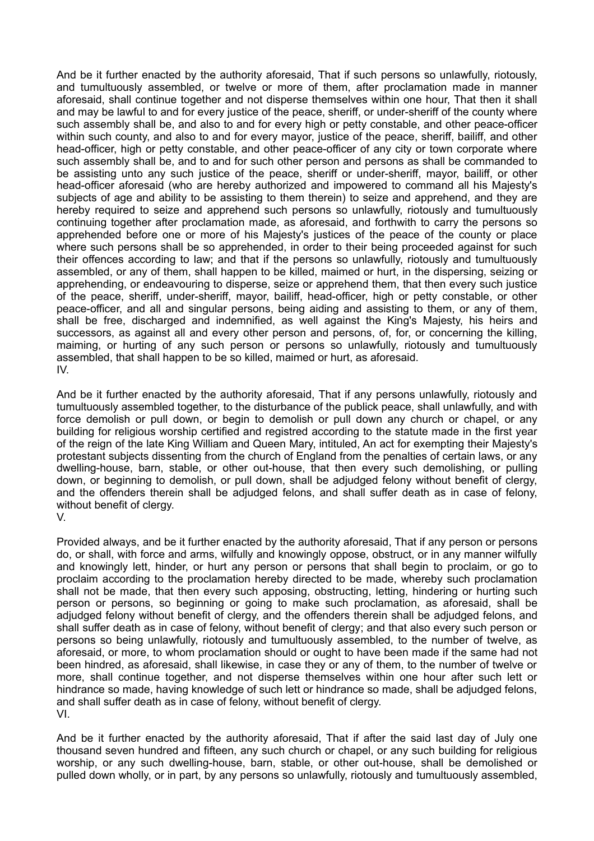And be it further enacted by the authority aforesaid, That if such persons so unlawfully, riotously, and tumultuously assembled, or twelve or more of them, after proclamation made in manner aforesaid, shall continue together and not disperse themselves within one hour, That then it shall and may be lawful to and for every justice of the peace, sheriff, or under-sheriff of the county where such assembly shall be, and also to and for every high or petty constable, and other peace-officer within such county, and also to and for every mayor, justice of the peace, sheriff, bailiff, and other head-officer, high or petty constable, and other peace-officer of any city or town corporate where such assembly shall be, and to and for such other person and persons as shall be commanded to be assisting unto any such justice of the peace, sheriff or under-sheriff, mayor, bailiff, or other head-officer aforesaid (who are hereby authorized and impowered to command all his Majesty's subjects of age and ability to be assisting to them therein) to seize and apprehend, and they are hereby required to seize and apprehend such persons so unlawfully, riotously and tumultuously continuing together after proclamation made, as aforesaid, and forthwith to carry the persons so apprehended before one or more of his Majesty's justices of the peace of the county or place where such persons shall be so apprehended, in order to their being proceeded against for such their offences according to law; and that if the persons so unlawfully, riotously and tumultuously assembled, or any of them, shall happen to be killed, maimed or hurt, in the dispersing, seizing or apprehending, or endeavouring to disperse, seize or apprehend them, that then every such justice of the peace, sheriff, under-sheriff, mayor, bailiff, head-officer, high or petty constable, or other peace-officer, and all and singular persons, being aiding and assisting to them, or any of them, shall be free, discharged and indemnified, as well against the King's Majesty, his heirs and successors, as against all and every other person and persons, of, for, or concerning the killing, maiming, or hurting of any such person or persons so unlawfully, riotously and tumultuously assembled, that shall happen to be so killed, maimed or hurt, as aforesaid. IV.

And be it further enacted by the authority aforesaid, That if any persons unlawfully, riotously and tumultuously assembled together, to the disturbance of the publick peace, shall unlawfully, and with force demolish or pull down, or begin to demolish or pull down any church or chapel, or any building for religious worship certified and registred according to the statute made in the first year of the reign of the late King William and Queen Mary, intituled, An act for exempting their Majesty's protestant subjects dissenting from the church of England from the penalties of certain laws, or any dwelling-house, barn, stable, or other out-house, that then every such demolishing, or pulling down, or beginning to demolish, or pull down, shall be adjudged felony without benefit of clergy, and the offenders therein shall be adjudged felons, and shall suffer death as in case of felony, without benefit of clergy.

V.

Provided always, and be it further enacted by the authority aforesaid, That if any person or persons do, or shall, with force and arms, wilfully and knowingly oppose, obstruct, or in any manner wilfully and knowingly lett, hinder, or hurt any person or persons that shall begin to proclaim, or go to proclaim according to the proclamation hereby directed to be made, whereby such proclamation shall not be made, that then every such apposing, obstructing, letting, hindering or hurting such person or persons, so beginning or going to make such proclamation, as aforesaid, shall be adjudged felony without benefit of clergy, and the offenders therein shall be adjudged felons, and shall suffer death as in case of felony, without benefit of clergy; and that also every such person or persons so being unlawfully, riotously and tumultuously assembled, to the number of twelve, as aforesaid, or more, to whom proclamation should or ought to have been made if the same had not been hindred, as aforesaid, shall likewise, in case they or any of them, to the number of twelve or more, shall continue together, and not disperse themselves within one hour after such lett or hindrance so made, having knowledge of such lett or hindrance so made, shall be adjudged felons, and shall suffer death as in case of felony, without benefit of clergy. VI.

And be it further enacted by the authority aforesaid, That if after the said last day of July one thousand seven hundred and fifteen, any such church or chapel, or any such building for religious worship, or any such dwelling-house, barn, stable, or other out-house, shall be demolished or pulled down wholly, or in part, by any persons so unlawfully, riotously and tumultuously assembled,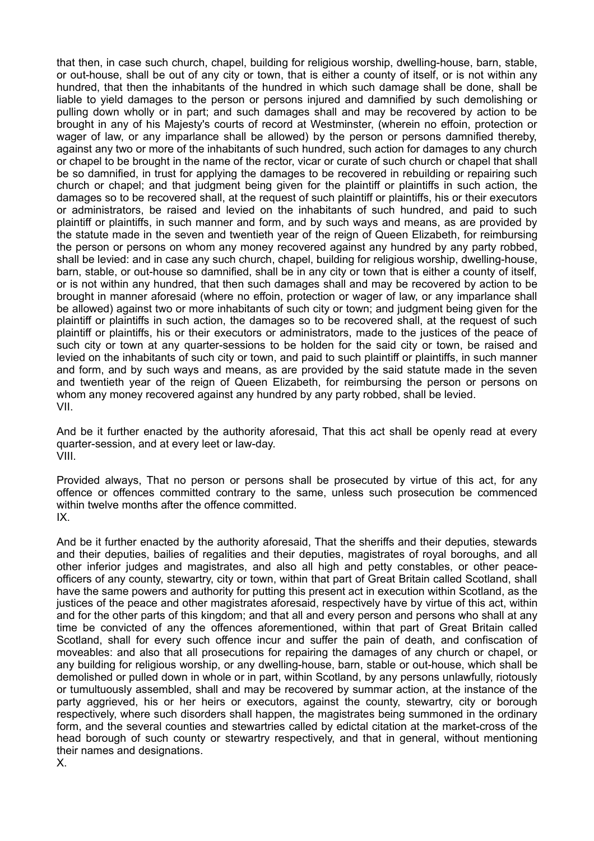that then, in case such church, chapel, building for religious worship, dwelling-house, barn, stable, or out-house, shall be out of any city or town, that is either a county of itself, or is not within any hundred, that then the inhabitants of the hundred in which such damage shall be done, shall be liable to yield damages to the person or persons injured and damnified by such demolishing or pulling down wholly or in part; and such damages shall and may be recovered by action to be brought in any of his Majesty's courts of record at Westminster, (wherein no effoin, protection or wager of law, or any imparlance shall be allowed) by the person or persons damnified thereby, against any two or more of the inhabitants of such hundred, such action for damages to any church or chapel to be brought in the name of the rector, vicar or curate of such church or chapel that shall be so damnified, in trust for applying the damages to be recovered in rebuilding or repairing such church or chapel; and that judgment being given for the plaintiff or plaintiffs in such action, the damages so to be recovered shall, at the request of such plaintiff or plaintiffs, his or their executors or administrators, be raised and levied on the inhabitants of such hundred, and paid to such plaintiff or plaintiffs, in such manner and form, and by such ways and means, as are provided by the statute made in the seven and twentieth year of the reign of Queen Elizabeth, for reimbursing the person or persons on whom any money recovered against any hundred by any party robbed, shall be levied: and in case any such church, chapel, building for religious worship, dwelling-house, barn, stable, or out-house so damnified, shall be in any city or town that is either a county of itself, or is not within any hundred, that then such damages shall and may be recovered by action to be brought in manner aforesaid (where no effoin, protection or wager of law, or any imparlance shall be allowed) against two or more inhabitants of such city or town; and judgment being given for the plaintiff or plaintiffs in such action, the damages so to be recovered shall, at the request of such plaintiff or plaintiffs, his or their executors or administrators, made to the justices of the peace of such city or town at any quarter-sessions to be holden for the said city or town, be raised and levied on the inhabitants of such city or town, and paid to such plaintiff or plaintiffs, in such manner and form, and by such ways and means, as are provided by the said statute made in the seven and twentieth year of the reign of Queen Elizabeth, for reimbursing the person or persons on whom any money recovered against any hundred by any party robbed, shall be levied. VII.

And be it further enacted by the authority aforesaid, That this act shall be openly read at every quarter-session, and at every leet or law-day. VIII.

Provided always, That no person or persons shall be prosecuted by virtue of this act, for any offence or offences committed contrary to the same, unless such prosecution be commenced within twelve months after the offence committed. IX.

And be it further enacted by the authority aforesaid, That the sheriffs and their deputies, stewards and their deputies, bailies of regalities and their deputies, magistrates of royal boroughs, and all other inferior judges and magistrates, and also all high and petty constables, or other peaceofficers of any county, stewartry, city or town, within that part of Great Britain called Scotland, shall have the same powers and authority for putting this present act in execution within Scotland, as the justices of the peace and other magistrates aforesaid, respectively have by virtue of this act, within and for the other parts of this kingdom; and that all and every person and persons who shall at any time be convicted of any the offences aforementioned, within that part of Great Britain called Scotland, shall for every such offence incur and suffer the pain of death, and confiscation of moveables: and also that all prosecutions for repairing the damages of any church or chapel, or any building for religious worship, or any dwelling-house, barn, stable or out-house, which shall be demolished or pulled down in whole or in part, within Scotland, by any persons unlawfully, riotously or tumultuously assembled, shall and may be recovered by summar action, at the instance of the party aggrieved, his or her heirs or executors, against the county, stewartry, city or borough respectively, where such disorders shall happen, the magistrates being summoned in the ordinary form, and the several counties and stewartries called by edictal citation at the market-cross of the head borough of such county or stewartry respectively, and that in general, without mentioning their names and designations. X.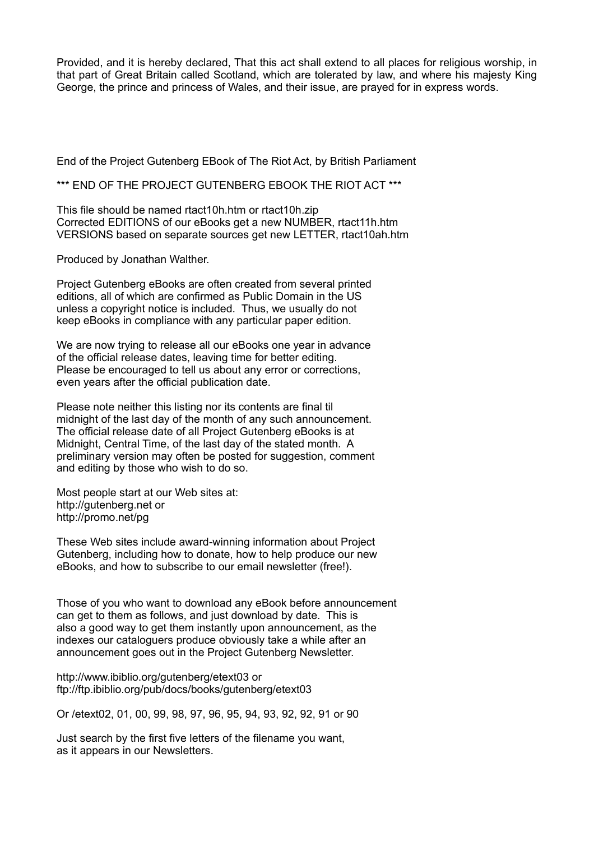Provided, and it is hereby declared, That this act shall extend to all places for religious worship, in that part of Great Britain called Scotland, which are tolerated by law, and where his majesty King George, the prince and princess of Wales, and their issue, are prayed for in express words.

End of the Project Gutenberg EBook of The Riot Act, by British Parliament

\*\*\* END OF THE PROJECT GUTENBERG EBOOK THE RIOT ACT \*\*\*

This file should be named rtact10h.htm or rtact10h.zip Corrected EDITIONS of our eBooks get a new NUMBER, rtact11h.htm VERSIONS based on separate sources get new LETTER, rtact10ah.htm

Produced by Jonathan Walther.

Project Gutenberg eBooks are often created from several printed editions, all of which are confirmed as Public Domain in the US unless a copyright notice is included. Thus, we usually do not keep eBooks in compliance with any particular paper edition.

We are now trying to release all our eBooks one year in advance of the official release dates, leaving time for better editing. Please be encouraged to tell us about any error or corrections, even years after the official publication date.

Please note neither this listing nor its contents are final til midnight of the last day of the month of any such announcement. The official release date of all Project Gutenberg eBooks is at Midnight, Central Time, of the last day of the stated month. A preliminary version may often be posted for suggestion, comment and editing by those who wish to do so.

Most people start at our Web sites at: http://gutenberg.net or http://promo.net/pg

These Web sites include award-winning information about Project Gutenberg, including how to donate, how to help produce our new eBooks, and how to subscribe to our email newsletter (free!).

Those of you who want to download any eBook before announcement can get to them as follows, and just download by date. This is also a good way to get them instantly upon announcement, as the indexes our cataloguers produce obviously take a while after an announcement goes out in the Project Gutenberg Newsletter.

http://www.ibiblio.org/gutenberg/etext03 or ftp://ftp.ibiblio.org/pub/docs/books/gutenberg/etext03

Or /etext02, 01, 00, 99, 98, 97, 96, 95, 94, 93, 92, 92, 91 or 90

Just search by the first five letters of the filename you want, as it appears in our Newsletters.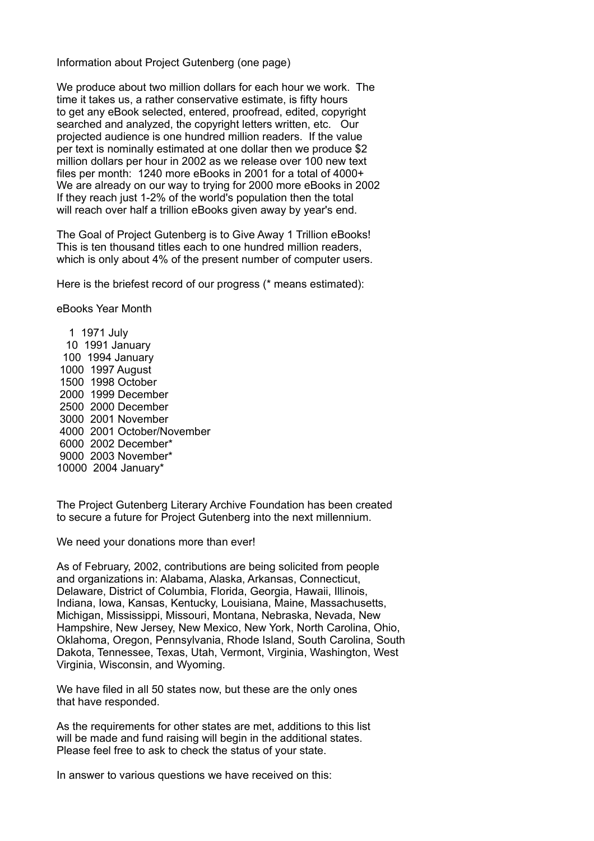Information about Project Gutenberg (one page)

We produce about two million dollars for each hour we work. The time it takes us, a rather conservative estimate, is fifty hours to get any eBook selected, entered, proofread, edited, copyright searched and analyzed, the copyright letters written, etc. Our projected audience is one hundred million readers. If the value per text is nominally estimated at one dollar then we produce \$2 million dollars per hour in 2002 as we release over 100 new text files per month: 1240 more eBooks in 2001 for a total of 4000+ We are already on our way to trying for 2000 more eBooks in 2002 If they reach just 1-2% of the world's population then the total will reach over half a trillion eBooks given away by year's end.

The Goal of Project Gutenberg is to Give Away 1 Trillion eBooks! This is ten thousand titles each to one hundred million readers, which is only about 4% of the present number of computer users.

Here is the briefest record of our progress (\* means estimated):

eBooks Year Month

 1971 July 1991 January 1994 January 1997 August 1998 October 1999 December 2000 December 2001 November 2001 October/November 2002 December\* 2003 November\* 2004 January\*

The Project Gutenberg Literary Archive Foundation has been created to secure a future for Project Gutenberg into the next millennium.

We need your donations more than ever!

As of February, 2002, contributions are being solicited from people and organizations in: Alabama, Alaska, Arkansas, Connecticut, Delaware, District of Columbia, Florida, Georgia, Hawaii, Illinois, Indiana, Iowa, Kansas, Kentucky, Louisiana, Maine, Massachusetts, Michigan, Mississippi, Missouri, Montana, Nebraska, Nevada, New Hampshire, New Jersey, New Mexico, New York, North Carolina, Ohio, Oklahoma, Oregon, Pennsylvania, Rhode Island, South Carolina, South Dakota, Tennessee, Texas, Utah, Vermont, Virginia, Washington, West Virginia, Wisconsin, and Wyoming.

We have filed in all 50 states now, but these are the only ones that have responded.

As the requirements for other states are met, additions to this list will be made and fund raising will begin in the additional states. Please feel free to ask to check the status of your state.

In answer to various questions we have received on this: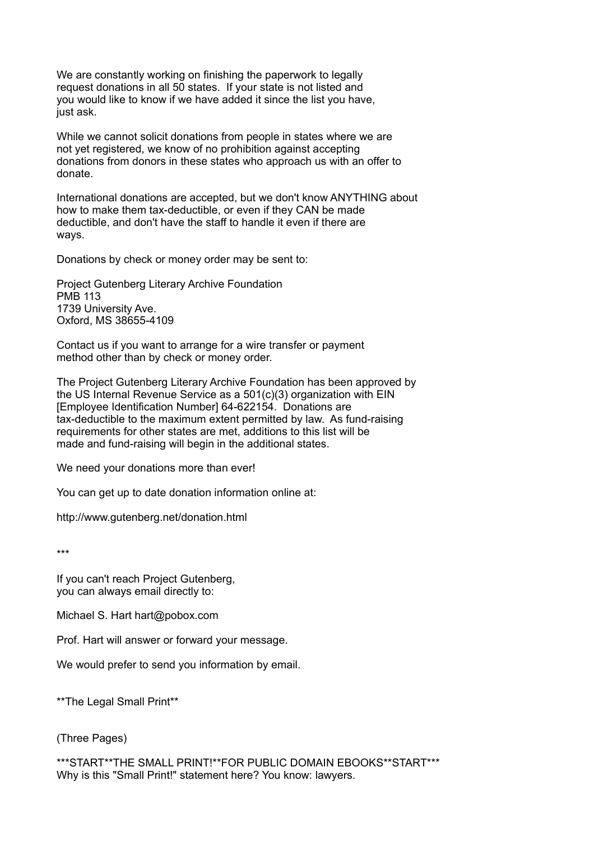We are constantly working on finishing the paperwork to legally request donations in all 50 states. If your state is not listed and you would like to know if we have added it since the list you have, just ask.

While we cannot solicit donations from people in states where we are not yet registered, we know of no prohibition against accepting donations from donors in these states who approach us with an offer to donate.

International donations are accepted, but we don't know ANYTHING about how to make them tax-deductible, or even if they CAN be made deductible, and don't have the staff to handle it even if there are ways.

Donations by check or money order may be sent to:

Project Gutenberg Literary Archive Foundation PMB 113 1739 University Ave. Oxford, MS 38655-4109

Contact us if you want to arrange for a wire transfer or payment method other than by check or money order.

The Project Gutenberg Literary Archive Foundation has been approved by the US Internal Revenue Service as a 501(c)(3) organization with EIN [Employee Identification Number] 64-622154. Donations are tax-deductible to the maximum extent permitted by law. As fund-raising requirements for other states are met, additions to this list will be made and fund-raising will begin in the additional states.

We need your donations more than ever!

You can get up to date donation information online at:

http://www.gutenberg.net/donation.html

\*\*\*

If you can't reach Project Gutenberg, you can always email directly to:

Michael S. Hart hart@pobox.com

Prof. Hart will answer or forward your message.

We would prefer to send you information by email.

\*\*The Legal Small Print\*\*

(Three Pages)

\*\*\*START\*\*THE SMALL PRINT!\*\*FOR PUBLIC DOMAIN EBOOKS\*\*START\*\*\* Why is this "Small Print!" statement here? You know: lawyers.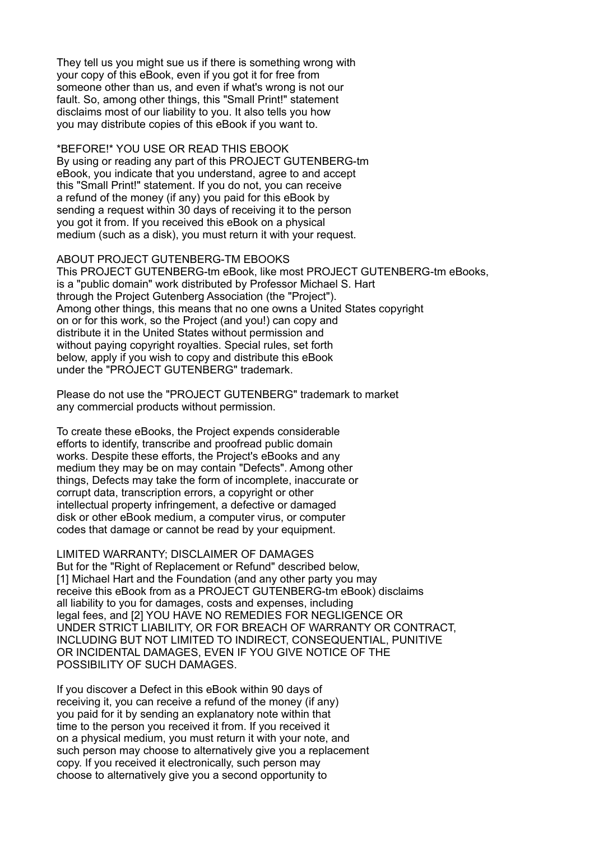They tell us you might sue us if there is something wrong with your copy of this eBook, even if you got it for free from someone other than us, and even if what's wrong is not our fault. So, among other things, this "Small Print!" statement disclaims most of our liability to you. It also tells you how you may distribute copies of this eBook if you want to.

#### \*BEFORE!\* YOU USE OR READ THIS EBOOK

By using or reading any part of this PROJECT GUTENBERG-tm eBook, you indicate that you understand, agree to and accept this "Small Print!" statement. If you do not, you can receive a refund of the money (if any) you paid for this eBook by sending a request within 30 days of receiving it to the person you got it from. If you received this eBook on a physical medium (such as a disk), you must return it with your request.

#### ABOUT PROJECT GUTENBERG-TM EBOOKS

This PROJECT GUTENBERG-tm eBook, like most PROJECT GUTENBERG-tm eBooks, is a "public domain" work distributed by Professor Michael S. Hart through the Project Gutenberg Association (the "Project"). Among other things, this means that no one owns a United States copyright on or for this work, so the Project (and you!) can copy and distribute it in the United States without permission and without paying copyright royalties. Special rules, set forth below, apply if you wish to copy and distribute this eBook under the "PROJECT GUTENBERG" trademark.

Please do not use the "PROJECT GUTENBERG" trademark to market any commercial products without permission.

To create these eBooks, the Project expends considerable efforts to identify, transcribe and proofread public domain works. Despite these efforts, the Project's eBooks and any medium they may be on may contain "Defects". Among other things, Defects may take the form of incomplete, inaccurate or corrupt data, transcription errors, a copyright or other intellectual property infringement, a defective or damaged disk or other eBook medium, a computer virus, or computer codes that damage or cannot be read by your equipment.

### LIMITED WARRANTY; DISCLAIMER OF DAMAGES

But for the "Right of Replacement or Refund" described below, [1] Michael Hart and the Foundation (and any other party you may receive this eBook from as a PROJECT GUTENBERG-tm eBook) disclaims all liability to you for damages, costs and expenses, including legal fees, and [2] YOU HAVE NO REMEDIES FOR NEGLIGENCE OR UNDER STRICT LIABILITY, OR FOR BREACH OF WARRANTY OR CONTRACT, INCLUDING BUT NOT LIMITED TO INDIRECT, CONSEQUENTIAL, PUNITIVE OR INCIDENTAL DAMAGES, EVEN IF YOU GIVE NOTICE OF THE POSSIBILITY OF SUCH DAMAGES.

If you discover a Defect in this eBook within 90 days of receiving it, you can receive a refund of the money (if any) you paid for it by sending an explanatory note within that time to the person you received it from. If you received it on a physical medium, you must return it with your note, and such person may choose to alternatively give you a replacement copy. If you received it electronically, such person may choose to alternatively give you a second opportunity to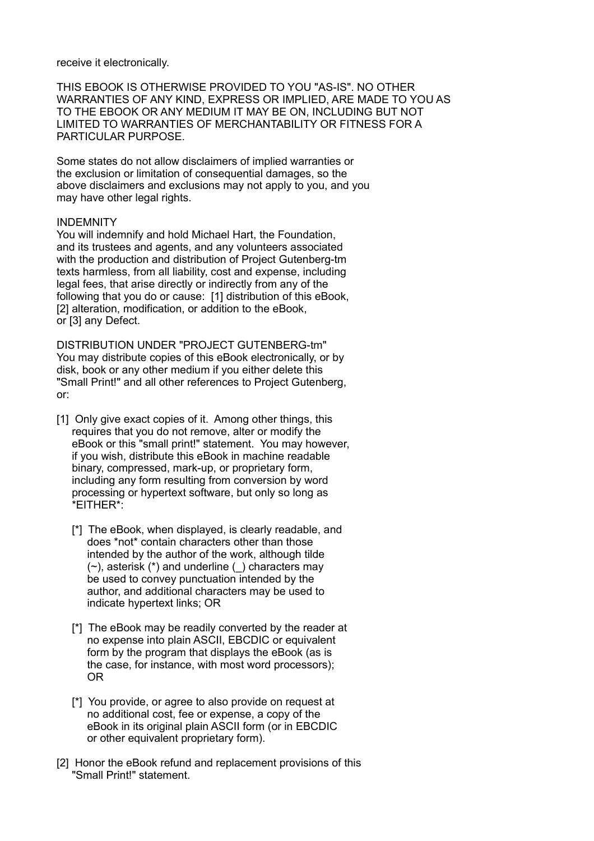#### receive it electronically.

THIS EBOOK IS OTHERWISE PROVIDED TO YOU "AS-IS". NO OTHER WARRANTIES OF ANY KIND, EXPRESS OR IMPLIED, ARE MADE TO YOU AS TO THE EBOOK OR ANY MEDIUM IT MAY BE ON, INCLUDING BUT NOT LIMITED TO WARRANTIES OF MERCHANTABILITY OR FITNESS FOR A PARTICULAR PURPOSE.

Some states do not allow disclaimers of implied warranties or the exclusion or limitation of consequential damages, so the above disclaimers and exclusions may not apply to you, and you may have other legal rights.

#### INDEMNITY

You will indemnify and hold Michael Hart, the Foundation, and its trustees and agents, and any volunteers associated with the production and distribution of Project Gutenberg-tm texts harmless, from all liability, cost and expense, including legal fees, that arise directly or indirectly from any of the following that you do or cause: [1] distribution of this eBook, [2] alteration, modification, or addition to the eBook, or [3] any Defect.

DISTRIBUTION UNDER "PROJECT GUTENBERG-tm" You may distribute copies of this eBook electronically, or by disk, book or any other medium if you either delete this "Small Print!" and all other references to Project Gutenberg, or:

- [1] Only give exact copies of it. Among other things, this requires that you do not remove, alter or modify the eBook or this "small print!" statement. You may however, if you wish, distribute this eBook in machine readable binary, compressed, mark-up, or proprietary form, including any form resulting from conversion by word processing or hypertext software, but only so long as \*EITHER\*:
	- [\*] The eBook, when displayed, is clearly readable, and does \*not\* contain characters other than those intended by the author of the work, although tilde (~), asterisk (\*) and underline (\_) characters may be used to convey punctuation intended by the author, and additional characters may be used to indicate hypertext links; OR
	- [\*] The eBook may be readily converted by the reader at no expense into plain ASCII, EBCDIC or equivalent form by the program that displays the eBook (as is the case, for instance, with most word processors); OR
	- [\*] You provide, or agree to also provide on request at no additional cost, fee or expense, a copy of the eBook in its original plain ASCII form (or in EBCDIC or other equivalent proprietary form).
- [2] Honor the eBook refund and replacement provisions of this "Small Print!" statement.